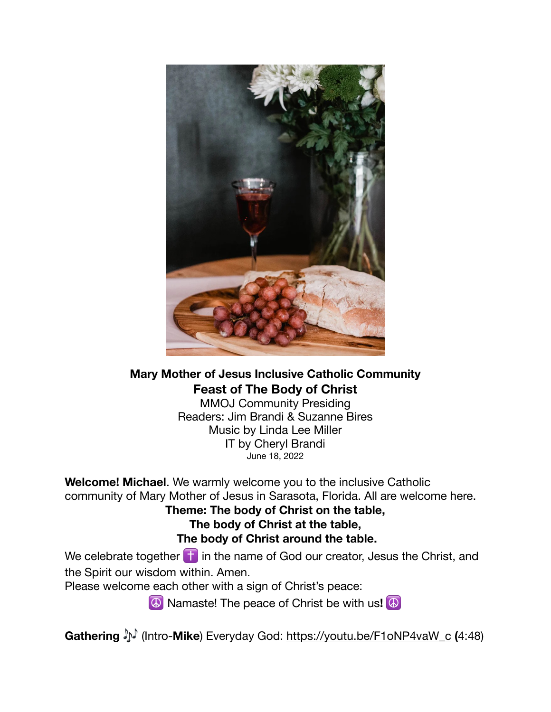

**Mary Mother of Jesus Inclusive Catholic Community Feast of The Body of Christ** 

MMOJ Community Presiding Readers: Jim Brandi & Suzanne Bires Music by Linda Lee Miller IT by Cheryl Brandi June 18, 2022

**Welcome! Michael**. We warmly welcome you to the inclusive Catholic community of Mary Mother of Jesus in Sarasota, Florida. All are welcome here.

**Theme: The body of Christ on the table, The body of Christ at the table, The body of Christ around the table.** 

We celebrate together  $\dagger$  in the name of God our creator, Jesus the Christ, and the Spirit our wisdom within. Amen.

Please welcome each other with a sign of Christ's peace:

☮ Namaste! The peace of Christ be with us**!** ☮

**Gathering** (Intro-**Mike**) Everyday God: [https://youtu.be/F1oNP4vaW\\_c](https://youtu.be/F1oNP4vaW_c) **(**4:48)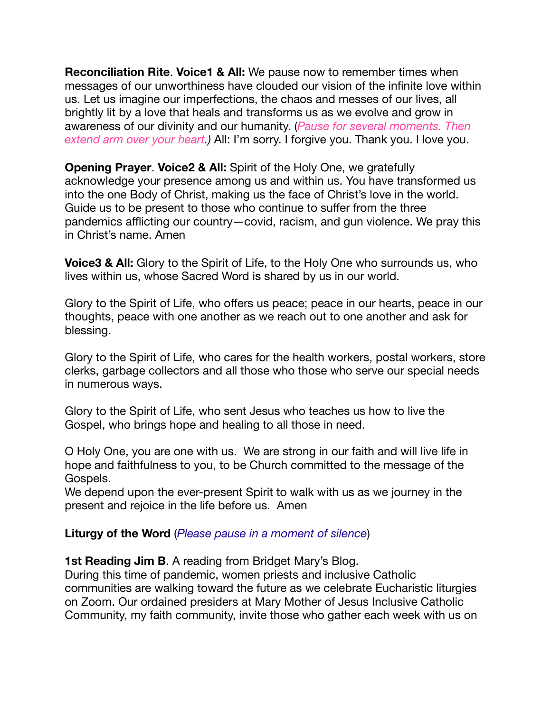**Reconciliation Rite**. **Voice1 & All:** We pause now to remember times when messages of our unworthiness have clouded our vision of the infinite love within us. Let us imagine our imperfections, the chaos and messes of our lives, all brightly lit by a love that heals and transforms us as we evolve and grow in awareness of our divinity and our humanity. (*Pause for several moments. Then extend arm over your heart.)* All: I'm sorry. I forgive you. Thank you. I love you.

**Opening Prayer**. **Voice2 & All:** Spirit of the Holy One, we gratefully acknowledge your presence among us and within us. You have transformed us into the one Body of Christ, making us the face of Christ's love in the world. Guide us to be present to those who continue to suffer from the three pandemics afflicting our country—covid, racism, and gun violence. We pray this in Christ's name. Amen

**Voice3 & All:** Glory to the Spirit of Life, to the Holy One who surrounds us, who lives within us, whose Sacred Word is shared by us in our world.

Glory to the Spirit of Life, who offers us peace; peace in our hearts, peace in our thoughts, peace with one another as we reach out to one another and ask for blessing.

Glory to the Spirit of Life, who cares for the health workers, postal workers, store clerks, garbage collectors and all those who those who serve our special needs in numerous ways.

Glory to the Spirit of Life, who sent Jesus who teaches us how to live the Gospel, who brings hope and healing to all those in need.

O Holy One, you are one with us. We are strong in our faith and will live life in hope and faithfulness to you, to be Church committed to the message of the Gospels.

We depend upon the ever-present Spirit to walk with us as we journey in the present and rejoice in the life before us. Amen

## **Liturgy of the Word** (*Please pause in a moment of silence*)

**1st Reading Jim B**. A reading from Bridget Mary's Blog.

During this time of pandemic, women priests and inclusive Catholic communities are walking toward the future as we celebrate Eucharistic liturgies on Zoom. Our ordained presiders at Mary Mother of Jesus Inclusive Catholic Community, my faith community, invite those who gather each week with us on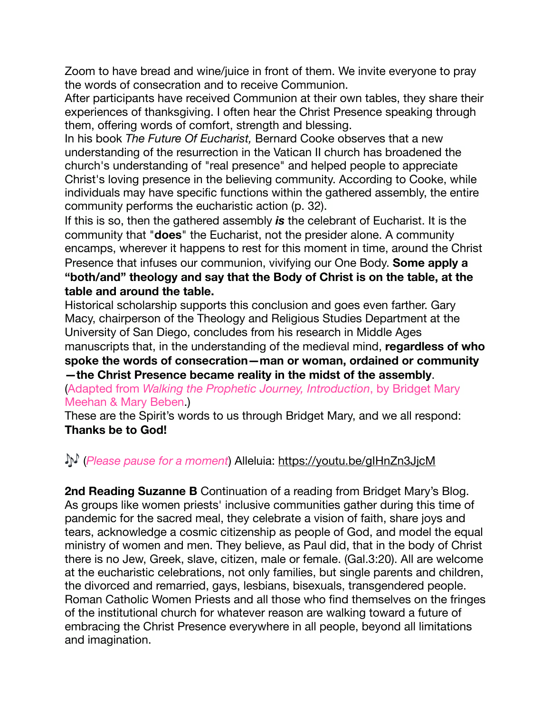Zoom to have bread and wine/juice in front of them. We invite everyone to pray the words of consecration and to receive Communion.

After participants have received Communion at their own tables, they share their experiences of thanksgiving. I often hear the Christ Presence speaking through them, offering words of comfort, strength and blessing.

In his book *The Future Of Eucharist,* Bernard Cooke observes that a new understanding of the resurrection in the Vatican II church has broadened the church's understanding of "real presence" and helped people to appreciate Christ's loving presence in the believing community. According to Cooke, while individuals may have specific functions within the gathered assembly, the entire community performs the eucharistic action (p. 32).

If this is so, then the gathered assembly *is* the celebrant of Eucharist. It is the community that "**does**" the Eucharist, not the presider alone. A community encamps, wherever it happens to rest for this moment in time, around the Christ Presence that infuses our communion, vivifying our One Body. **Some apply a "both/and" theology and say that the Body of Christ is on the table, at the table and around the table.**

Historical scholarship supports this conclusion and goes even farther. Gary Macy, chairperson of the Theology and Religious Studies Department at the University of San Diego, concludes from his research in Middle Ages manuscripts that, in the understanding of the medieval mind, **regardless of who spoke the words of consecration—man or woman, ordained or community —the Christ Presence became reality in the midst of the assembly**.

(Adapted from *Walking the Prophetic Journey, Introduction*, by Bridget Mary Meehan & Mary Beben.)

These are the Spirit's words to us through Bridget Mary, and we all respond: **Thanks be to God!** 

# (*Please pause for a moment*) Alleluia:<https://youtu.be/gIHnZn3JjcM>

**2nd Reading Suzanne B** Continuation of a reading from Bridget Mary's Blog. As groups like women priests' inclusive communities gather during this time of pandemic for the sacred meal, they celebrate a vision of faith, share joys and tears, acknowledge a cosmic citizenship as people of God, and model the equal ministry of women and men. They believe, as Paul did, that in the body of Christ there is no Jew, Greek, slave, citizen, male or female. (Gal.3:20). All are welcome at the eucharistic celebrations, not only families, but single parents and children, the divorced and remarried, gays, lesbians, bisexuals, transgendered people. Roman Catholic Women Priests and all those who find themselves on the fringes of the institutional church for whatever reason are walking toward a future of embracing the Christ Presence everywhere in all people, beyond all limitations and imagination.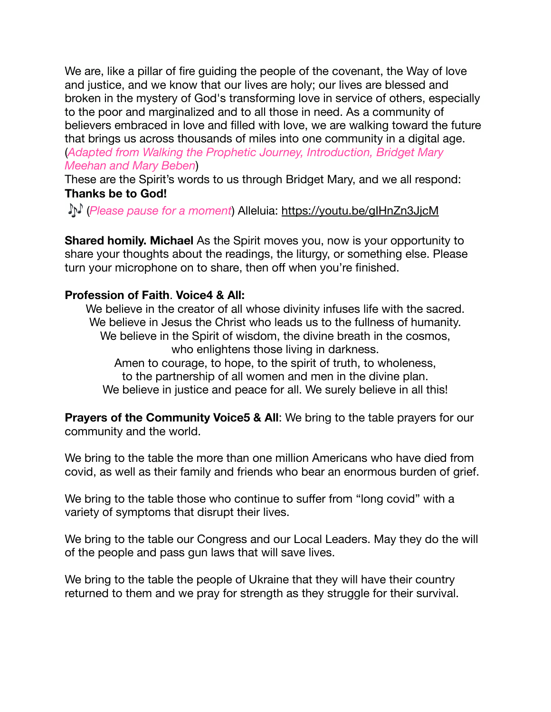We are, like a pillar of fire guiding the people of the covenant, the Way of love and justice, and we know that our lives are holy; our lives are blessed and broken in the mystery of God's transforming love in service of others, especially to the poor and marginalized and to all those in need. As a community of believers embraced in love and filled with love, we are walking toward the future that brings us across thousands of miles into one community in a digital age. (*Adapted from Walking the Prophetic Journey, Introduction, Bridget Mary Meehan and Mary Beben*)

These are the Spirit's words to us through Bridget Mary, and we all respond: **Thanks be to God!** 

(*Please pause for a moment*) Alleluia: <https://youtu.be/gIHnZn3JjcM>

**Shared homily. Michael** As the Spirit moves you, now is your opportunity to share your thoughts about the readings, the liturgy, or something else. Please turn your microphone on to share, then off when you're finished.

# **Profession of Faith**. **Voice4 & All:**

We believe in the creator of all whose divinity infuses life with the sacred. We believe in Jesus the Christ who leads us to the fullness of humanity. We believe in the Spirit of wisdom, the divine breath in the cosmos, who enlightens those living in darkness. Amen to courage, to hope, to the spirit of truth, to wholeness, to the partnership of all women and men in the divine plan. We believe in justice and peace for all. We surely believe in all this!

**Prayers of the Community Voice5 & All:** We bring to the table prayers for our community and the world.

We bring to the table the more than one million Americans who have died from covid, as well as their family and friends who bear an enormous burden of grief.

We bring to the table those who continue to suffer from "long covid" with a variety of symptoms that disrupt their lives.

We bring to the table our Congress and our Local Leaders. May they do the will of the people and pass gun laws that will save lives.

We bring to the table the people of Ukraine that they will have their country returned to them and we pray for strength as they struggle for their survival.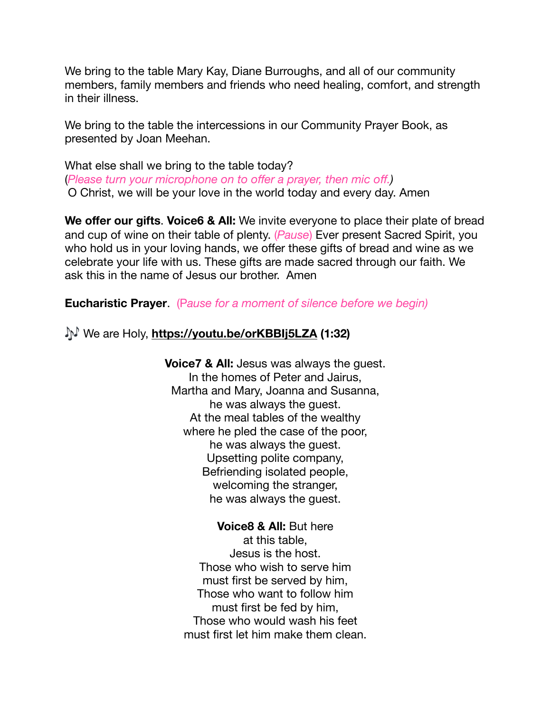We bring to the table Mary Kay, Diane Burroughs, and all of our community members, family members and friends who need healing, comfort, and strength in their illness.

We bring to the table the intercessions in our Community Prayer Book, as presented by Joan Meehan.

What else shall we bring to the table today? (*Please turn your microphone on to offer a prayer, then mic off.)* O Christ, we will be your love in the world today and every day. Amen

**We offer our gifts. Voice6 & All:** We invite everyone to place their plate of bread and cup of wine on their table of plenty. (*Pause*) Ever present Sacred Spirit, you who hold us in your loving hands, we offer these gifts of bread and wine as we celebrate your life with us. These gifts are made sacred through our faith. We ask this in the name of Jesus our brother. Amen

**Eucharistic Prayer**. (P*ause for a moment of silence before we begin)* 

We are Holy, **<https://youtu.be/orKBBIj5LZA>(1:32)** 

**Voice7 & All:** Jesus was always the guest. In the homes of Peter and Jairus, Martha and Mary, Joanna and Susanna, he was always the guest. At the meal tables of the wealthy where he pled the case of the poor, he was always the guest. Upsetting polite company, Befriending isolated people, welcoming the stranger, he was always the guest.

**Voice8 & All:** But here at this table, Jesus is the host. Those who wish to serve him must first be served by him, Those who want to follow him must first be fed by him, Those who would wash his feet must first let him make them clean.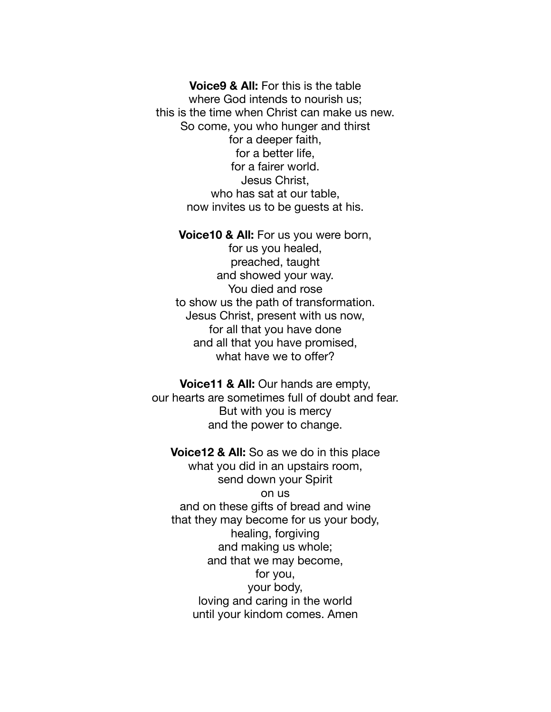**Voice9 & All:** For this is the table where God intends to nourish us; this is the time when Christ can make us new. So come, you who hunger and thirst for a deeper faith, for a better life, for a fairer world. Jesus Christ, who has sat at our table, now invites us to be guests at his.

**Voice10 & All:** For us you were born, for us you healed, preached, taught and showed your way. You died and rose to show us the path of transformation. Jesus Christ, present with us now, for all that you have done and all that you have promised,

what have we to offer?

**Voice11 & All:** Our hands are empty, our hearts are sometimes full of doubt and fear. But with you is mercy and the power to change.

**Voice12 & All:** So as we do in this place what you did in an upstairs room, send down your Spirit on us and on these gifts of bread and wine that they may become for us your body, healing, forgiving and making us whole; and that we may become, for you, your body, loving and caring in the world until your kindom comes. Amen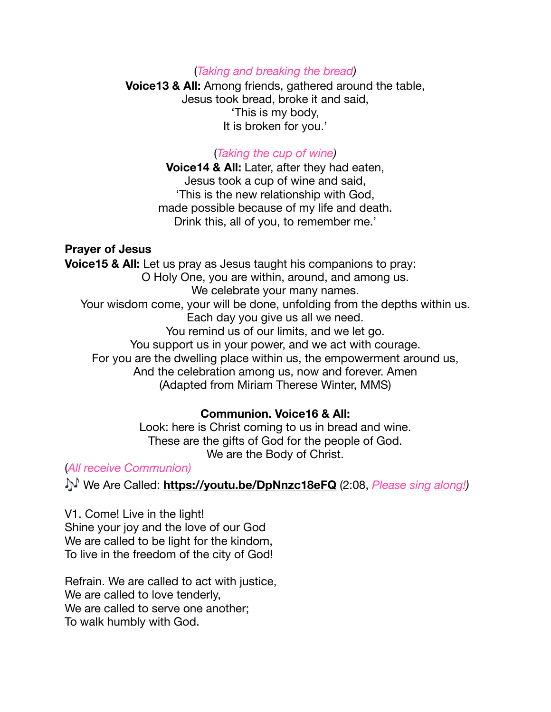### (*Taking and breaking the bread)*

**Voice13 & All:** Among friends, gathered around the table, Jesus took bread, broke it and said, 'This is my body, It is broken for you.'

#### (*Taking the cup of wine)*

**Voice14 & All:** Later, after they had eaten, Jesus took a cup of wine and said, 'This is the new relationship with God, made possible because of my life and death. Drink this, all of you, to remember me.'

#### **Prayer of Jesus**

**Voice15 & All:** Let us pray as Jesus taught his companions to pray: O Holy One, you are within, around, and among us. We celebrate your many names. Your wisdom come, your will be done, unfolding from the depths within us. Each day you give us all we need. You remind us of our limits, and we let go. You support us in your power, and we act with courage. For you are the dwelling place within us, the empowerment around us, And the celebration among us, now and forever. Amen (Adapted from Miriam Therese Winter, MMS)

## **Communion. Voice16 & All:**

Look: here is Christ coming to us in bread and wine. These are the gifts of God for the people of God. We are the Body of Christ.

# (*All receive Communion)*

We Are Called: **<https://youtu.be/DpNnzc18eFQ>** (2:08, *Please sing along!)*

V1. Come! Live in the light! Shine your joy and the love of our God We are called to be light for the kindom, To live in the freedom of the city of God!

Refrain. We are called to act with justice, We are called to love tenderly. We are called to serve one another; To walk humbly with God.